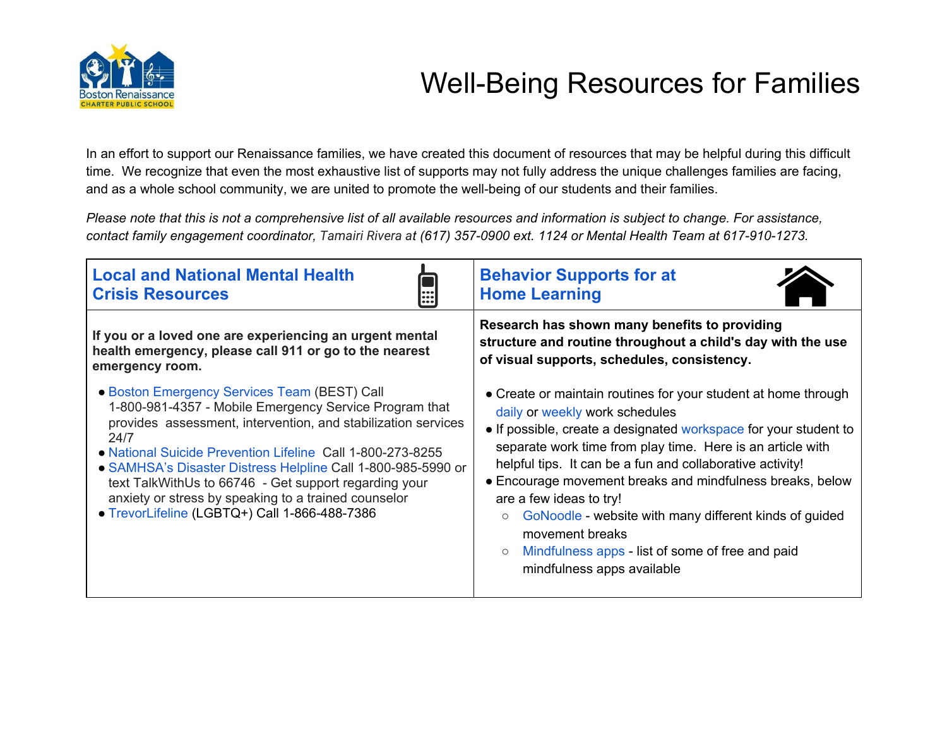

## Well-Being Resources for Families

In an effort to support our Renaissance families, we have created this document of resources that may be helpful during this difficult time. We recognize that even the most exhaustive list of supports may not fully address the unique challenges families are facing, and as a whole school community, we are united to promote the well-being of our students and their families.

Please note that this is not a comprehensive list of all available resources and information is subject to change. For assistance, contact family engagement coordinator, Tamairi Rivera at (617) 357-0900 ext. 1124 or Mental Health Team at 617-910-1273.

| <b>Local and National Mental Health</b><br><b>Crisis Resources</b><br>H                                                                                                                                                                                                                                                                                                                                                                                                         | <b>Behavior Supports for at</b><br><b>Home Learning</b>                                                                                                                                                                                                                                                                                                                                                                                                                                                                                                                      |
|---------------------------------------------------------------------------------------------------------------------------------------------------------------------------------------------------------------------------------------------------------------------------------------------------------------------------------------------------------------------------------------------------------------------------------------------------------------------------------|------------------------------------------------------------------------------------------------------------------------------------------------------------------------------------------------------------------------------------------------------------------------------------------------------------------------------------------------------------------------------------------------------------------------------------------------------------------------------------------------------------------------------------------------------------------------------|
| If you or a loved one are experiencing an urgent mental<br>health emergency, please call 911 or go to the nearest<br>emergency room.                                                                                                                                                                                                                                                                                                                                            | Research has shown many benefits to providing<br>structure and routine throughout a child's day with the use<br>of visual supports, schedules, consistency.                                                                                                                                                                                                                                                                                                                                                                                                                  |
| • Boston Emergency Services Team (BEST) Call<br>1-800-981-4357 - Mobile Emergency Service Program that<br>provides assessment, intervention, and stabilization services<br>24/7<br>• National Suicide Prevention Lifeline Call 1-800-273-8255<br>• SAMHSA's Disaster Distress Helpline Call 1-800-985-5990 or<br>text TalkWithUs to 66746 - Get support regarding your<br>anxiety or stress by speaking to a trained counselor<br>· TrevorLifeline (LGBTQ+) Call 1-866-488-7386 | • Create or maintain routines for your student at home through<br>daily or weekly work schedules<br>• If possible, create a designated workspace for your student to<br>separate work time from play time. Here is an article with<br>helpful tips. It can be a fun and collaborative activity!<br>• Encourage movement breaks and mindfulness breaks, below<br>are a few ideas to try!<br>GoNoodle - website with many different kinds of guided<br>$\circ$<br>movement breaks<br>Mindfulness apps - list of some of free and paid<br>$\circ$<br>mindfulness apps available |